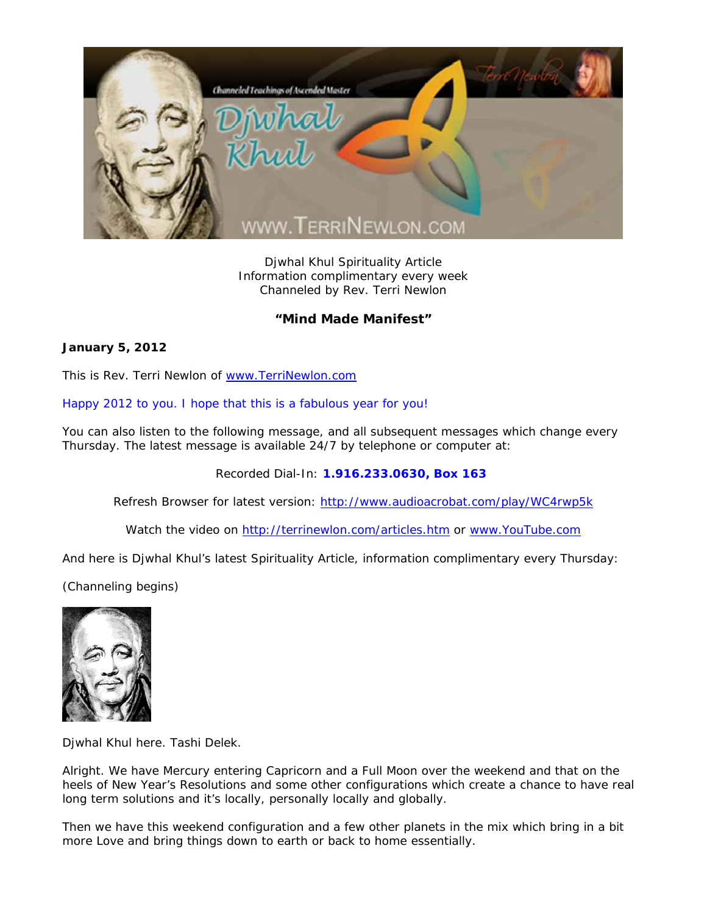

Djwhal Khul Spirituality Article Information complimentary every week Channeled by Rev. Terri Newlon

## **"Mind Made Manifest"**

## **January 5, 2012**

This is Rev. Terri Newlon of www.TerriNewlon.com

## Happy 2012 to you. I hope that this is a fabulous year for you!

You can also listen to the following message, and all subsequent messages which change every Thursday. The latest message is available 24/7 by telephone or computer at:

Recorded Dial-In: **1.916.233.0630, Box 163** 

Refresh Browser for latest version: http://www.audioacrobat.com/play/WC4rwp5k

Watch the video on http://terrinewlon.com/articles.htm or www.YouTube.com

And here is Djwhal Khul's latest Spirituality Article, information complimentary every Thursday:

(Channeling begins)



Djwhal Khul here. Tashi Delek.

Alright. We have Mercury entering Capricorn and a Full Moon over the weekend and that on the heels of New Year's Resolutions and some other configurations which create a chance to have real long term solutions and it's locally, personally locally and globally.

Then we have this weekend configuration and a few other planets in the mix which bring in a bit more Love and bring things down to earth or back to home essentially.